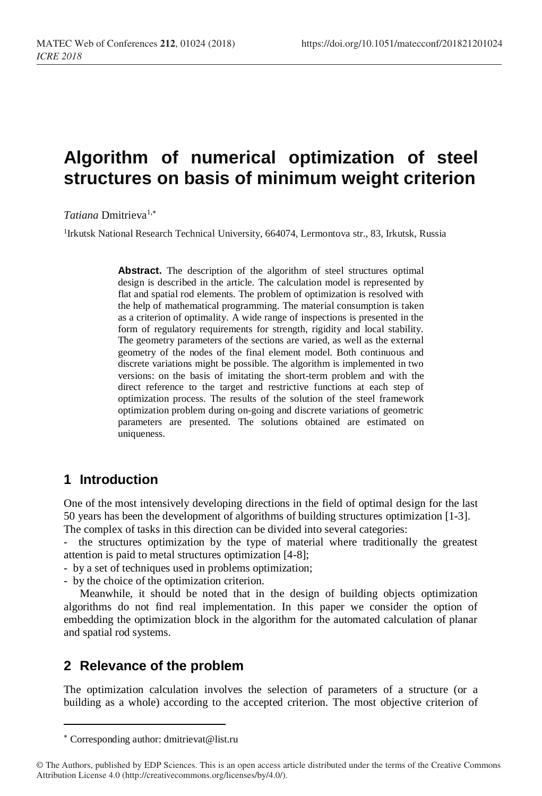# **Algorithm of numerical optimization of steel structures on basis of minimum weight criterion**

*Tatiana* Dmitrieva1,

<sup>1</sup>Irkutsk National Research Technical University, 664074, Lermontova str., 83, Irkutsk, Russia

Abstract. The description of the algorithm of steel structures optimal design is described in the article. The calculation model is represented by flat and spatial rod elements. The problem of optimization is resolved with the help of mathematical programming. The material consumption is taken as a criterion of optimality. A wide range of inspections is presented in the form of regulatory requirements for strength, rigidity and local stability. The geometry parameters of the sections are varied, as well as the external geometry of the nodes of the final element model. Both continuous and discrete variations might be possible. The algorithm is implemented in two versions: on the basis of imitating the short-term problem and with the direct reference to the target and restrictive functions at each step of optimization process. The results of the solution of the steel framework optimization problem during on-going and discrete variations of geometric parameters are presented. The solutions obtained are estimated on uniqueness.

#### **1 Introduction**

One of the most intensively developing directions in the field of optimal design for the last 50 years has been the development of algorithms of building structures optimization [1-3]. The complex of tasks in this direction can be divided into several categories:

- the structures optimization by the type of material where traditionally the greatest attention is paid to metal structures optimization [4-8];

- by a set of techniques used in problems optimization;
- by the choice of the optimization criterion.

Meanwhile, it should be noted that in the design of building objects optimization algorithms do not find real implementation. In this paper we consider the option of embedding the optimization block in the algorithm for the automated calculation of planar and spatial rod systems.

#### **2 Relevance of the problem**

The optimization calculation involves the selection of parameters of a structure (or a building as a whole) according to the accepted criterion. The most objective criterion of

 $\overline{a}$ 

Corresponding author: [dmitrievat@list.ru](mailto:dmitrievat@list.ru)

<sup>©</sup> The Authors, published by EDP Sciences. This is an open access article distributed under the terms of the Creative Commons Attribution License 4.0 (http://creativecommons.org/licenses/by/4.0/).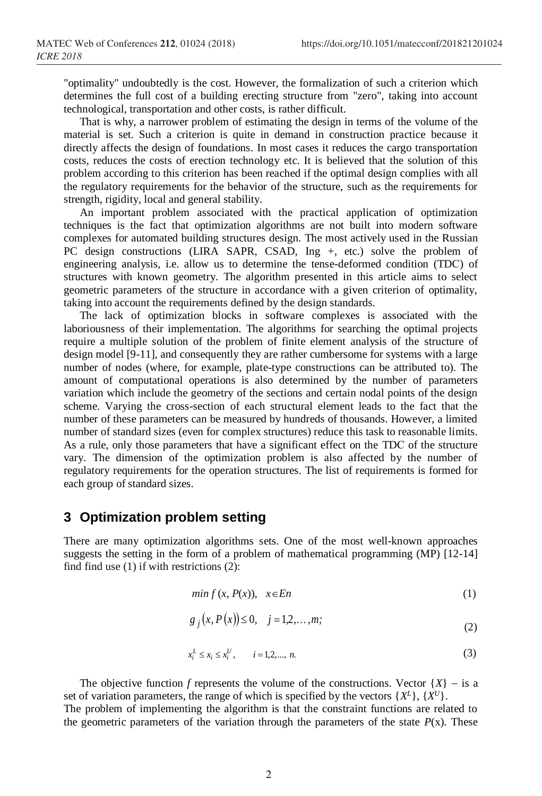"optimality" undoubtedly is the cost. However, the formalization of such a criterion which determines the full cost of a building erecting structure from "zero", taking into account technological, transportation and other costs, is rather difficult.

That is why, a narrower problem of estimating the design in terms of the volume of the material is set. Such a criterion is quite in demand in construction practice because it directly affects the design of foundations. In most cases it reduces the cargo transportation costs, reduces the costs of erection technology etc. It is believed that the solution of this problem according to this criterion has been reached if the optimal design complies with all the regulatory requirements for the behavior of the structure, such as the requirements for strength, rigidity, local and general stability.

An important problem associated with the practical application of optimization techniques is the fact that optimization algorithms are not built into modern software complexes for automated building structures design. The most actively used in the Russian PC design constructions (LIRA SAPR, CSAD, Ing +, etc.) solve the problem of engineering analysis, i.e. allow us to determine the tense-deformed condition (TDС) of structures with known geometry. The algorithm presented in this article aims to select geometric parameters of the structure in accordance with a given criterion of optimality, taking into account the requirements defined by the design standards.

The lack of optimization blocks in software complexes is associated with the laboriousness of their implementation. The algorithms for searching the optimal projects require a multiple solution of the problem of finite element analysis of the structure of design model [9-11], and consequently they are rather cumbersome for systems with a large number of nodes (where, for example, plate-type constructions can be attributed to). The amount of computational operations is also determined by the number of parameters variation which include the geometry of the sections and certain nodal points of the design scheme. Varying the cross-section of each structural element leads to the fact that the number of these parameters can be measured by hundreds of thousands. However, a limited number of standard sizes (even for complex structures) reduce this task to reasonable limits. As a rule, only those parameters that have a significant effect on the TDС of the structure vary. The dimension of the optimization problem is also affected by the number of regulatory requirements for the operation structures. The list of requirements is formed for each group of standard sizes.

#### **3 Optimization problem setting**

There are many optimization algorithms sets. One of the most well-known approaches suggests the setting in the form of a problem of mathematical programming (MP) [12-14] find find use (1) if with restrictions (2):

$$
min f(x, P(x)), \quad x \in En
$$
 (1)

$$
g_j(x, P(x)) \le 0, \quad j = 1, 2, \dots, m; \tag{2}
$$

$$
x_i^L \le x_i \le x_i^U, \qquad i = 1, 2, \dots, n. \tag{3}
$$

The objective function *f* represents the volume of the constructions. Vector  ${X}$  – is a set of variation parameters, the range of which is specified by the vectors  $\{X^L\}$ ,  $\{X^U\}$ . The problem of implementing the algorithm is that the constraint functions are related to the geometric parameters of the variation through the parameters of the state  $P(x)$ . These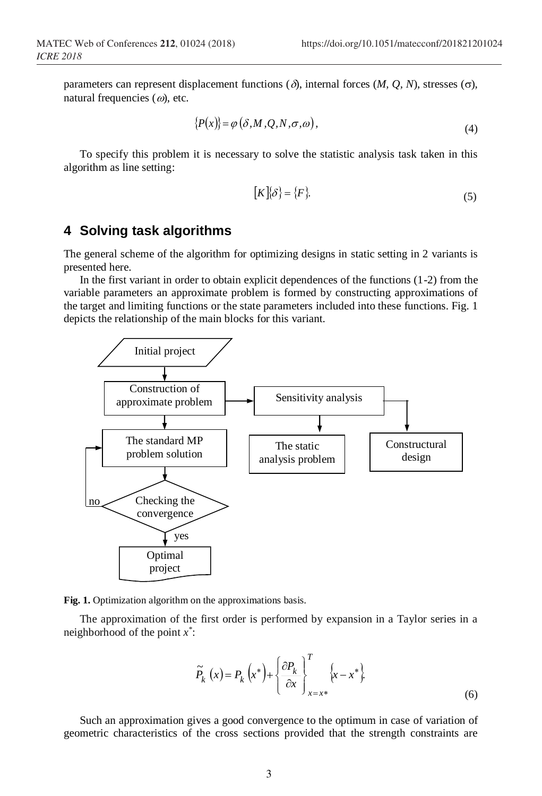parameters can represent displacement functions  $(\delta)$ , internal forces  $(M, Q, N)$ , stresses ( $\sigma$ ), natural frequencies  $(\omega)$ , etc.

$$
\{P(x)\} = \varphi\left(\delta, M, Q, N, \sigma, \omega\right),\tag{4}
$$

To specify this problem it is necessary to solve the statistic analysis task taken in this algorithm as line setting:

$$
[K]\{\delta\} = \{F\}.
$$
\n<sup>(5)</sup>

#### **4 Solving task algorithms**

The general scheme of the algorithm for optimizing designs in static setting in 2 variants is presented here.

In the first variant in order to obtain explicit dependences of the functions (1-2) from the variable parameters an approximate problem is formed by constructing approximations of the target and limiting functions or the state parameters included into these functions. Fig. 1 depicts the relationship of the main blocks for this variant.





The approximation of the first order is performed by expansion in a Taylor series in a neighborhood of the point *x \** :

$$
\widetilde{P}_k(x) = P_k(x^*) + \left\{\frac{\partial P_k}{\partial x}\right\}_{x=x^*}^T \left\{x - x^*\right\}
$$
\n(6)

Such an approximation gives a good convergence to the optimum in case of variation of geometric characteristics of the cross sections provided that the strength constraints are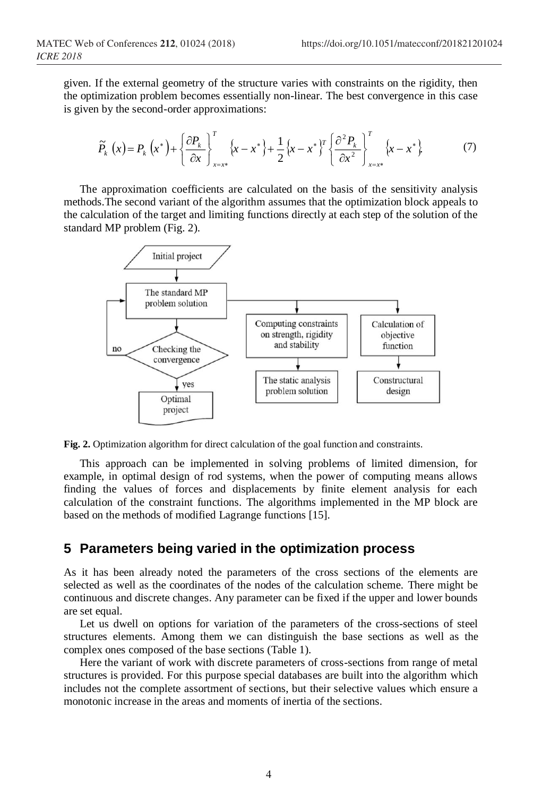given. If the external geometry of the structure varies with constraints on the rigidity, then the optimization problem becomes essentially non-linear. The best convergence in this case is given by the second-order approximations:

$$
\widetilde{P}_k(x) = P_k(x^*) + \left\{\frac{\partial P_k}{\partial x}\right\}_{x=x^*}^T \left\{x - x^*\right\} + \frac{1}{2} \left\{x - x^*\right\}^T \left\{\frac{\partial^2 P_k}{\partial x^2}\right\}_{x=x^*}^T \left\{x - x^*\right\} \tag{7}
$$

The approximation coefficients are calculated on the basis of the sensitivity analysis methods.The second variant of the algorithm assumes that the optimization block appeals to the calculation of the target and limiting functions directly at each step of the solution of the standard MP problem (Fig. 2).



**Fig. 2.** Optimization algorithm for direct calculation of the goal function and constraints.

This approach can be implemented in solving problems of limited dimension, for example, in optimal design of rod systems, when the power of computing means allows finding the values of forces and displacements by finite element analysis for each calculation of the constraint functions. The algorithms implemented in the MP block are based on the methods of modified Lagrange functions [15].

#### **5 Parameters being varied in the optimization process**

As it has been already noted the parameters of the cross sections of the elements are selected as well as the coordinates of the nodes of the calculation scheme. There might be continuous and discrete changes. Any parameter can be fixed if the upper and lower bounds are set equal.

Let us dwell on options for variation of the parameters of the cross-sections of steel structures elements. Among them we can distinguish the base sections as well as the complex ones composed of the base sections (Table 1).

Here the variant of work with discrete parameters of cross-sections from range of metal structures is provided. For this purpose special databases are built into the algorithm which includes not the complete assortment of sections, but their selective values which ensure a monotonic increase in the areas and moments of inertia of the sections.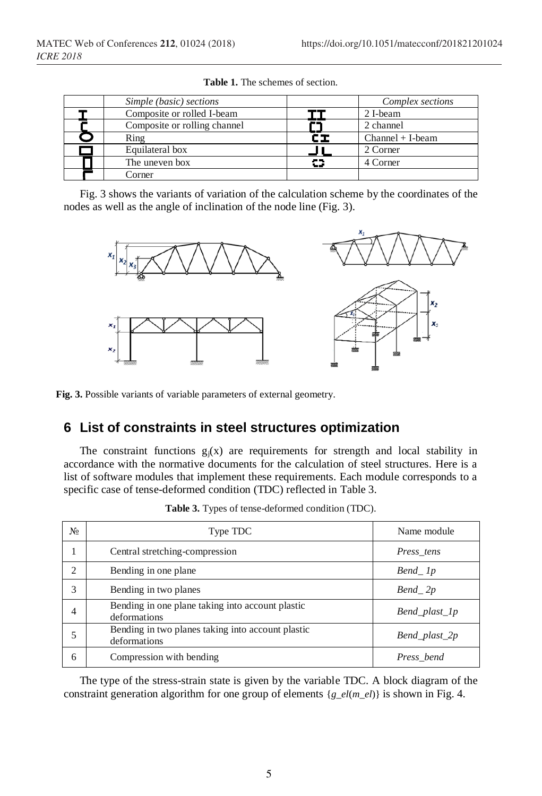| Simple (basic) sections      |    | Complex sections   |
|------------------------------|----|--------------------|
| Composite or rolled I-beam   |    | 2 I-beam           |
| Composite or rolling channel |    | 2 channel          |
| Ring                         | C) | $Channel + I-beam$ |
| Equilateral box              |    | 2 Corner           |
| The uneven box               | C3 | 4 Corner           |
| Corner                       |    |                    |

**Table 1.** The schemes of section.

Fig. 3 shows the variants of variation of the calculation scheme by the coordinates of the nodes as well as the angle of inclination of the node line (Fig. 3).



**Fig. 3.** Possible variants of variable parameters of external geometry.

## **6 List of constraints in steel structures optimization**

The constraint functions  $g_i(x)$  are requirements for strength and local stability in accordance with the normative documents for the calculation of steel structures. Here is a list of software modules that implement these requirements. Each module corresponds to a specific case of tense-deformed condition (TDC) reflected in Table 3.

| No | Type TDC                                                          | Name module   |
|----|-------------------------------------------------------------------|---------------|
|    | Central stretching-compression                                    | Press tens    |
| 2  | Bending in one plane                                              | $Bend_{P}$    |
| 3  | Bending in two planes                                             | $Bend_2p$     |
| 4  | Bending in one plane taking into account plastic<br>deformations  | Bend_plast_1p |
|    | Bending in two planes taking into account plastic<br>deformations | Bend_plast_2p |
| 6  | Compression with bending                                          | Press bend    |

**Table 3.** Types of tense-deformed condition (TDC).

The type of the stress-strain state is given by the variable TDC. A block diagram of the constraint generation algorithm for one group of elements {*g\_el*(*m\_el*)} is shown in Fig. 4.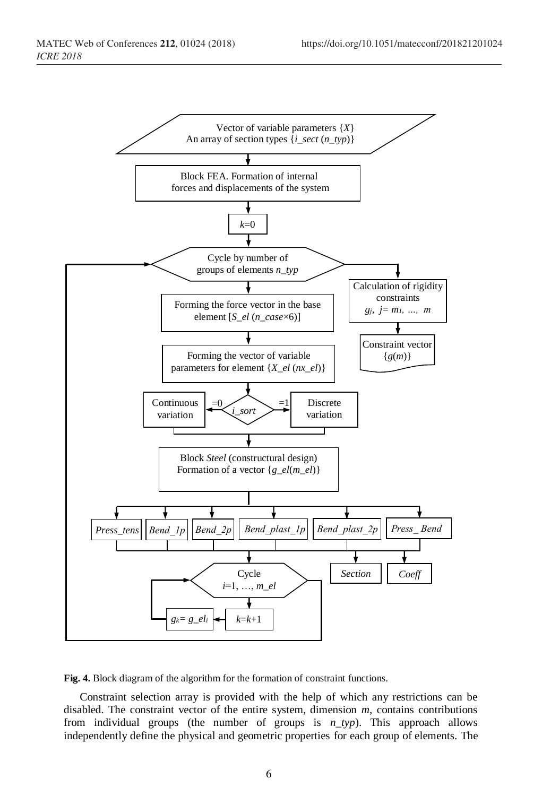

**Fig. 4.** Block diagram of the algorithm for the formation of constraint functions.

Constraint selection array is provided with the help of which any restrictions can be disabled. The constraint vector of the entire system, dimension *m*, contains contributions from individual groups (the number of groups is *n\_typ*). This approach allows independently define the physical and geometric properties for each group of elements. The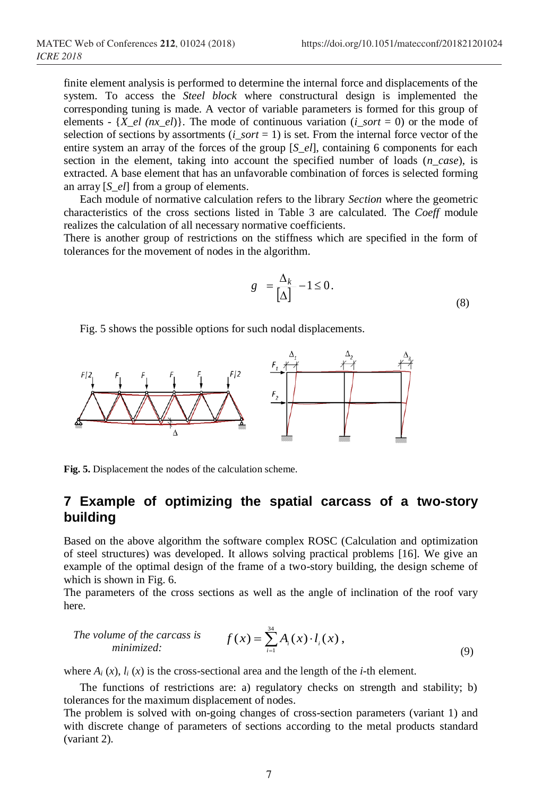finite element analysis is performed to determine the internal force and displacements of the system. To access the *Steel block* where constructural design is implemented the corresponding tuning is made. A vector of variable parameters is formed for this group of elements -  $\{X_{el}(nx_{el})\}$ . The mode of continuous variation (*i\_sort* = 0) or the mode of selection of sections by assortments  $(i\_sort = 1)$  is set. From the internal force vector of the entire system an array of the forces of the group [*S\_el*], containing 6 components for each section in the element, taking into account the specified number of loads (*n\_case*), is extracted. A base element that has an unfavorable combination of forces is selected forming an array [*S\_el*] from a group of elements.

Each module of normative calculation refers to the library *Section* where the geometric characteristics of the cross sections listed in Table 3 are calculated. The *Coeff* module realizes the calculation of all necessary normative coefficients.

There is another group of restrictions on the stiffness which are specified in the form of tolerances for the movement of nodes in the algorithm.

$$
g = \frac{\Delta_k}{[\Delta]} - 1 \le 0. \tag{8}
$$

Fig. 5 shows the possible options for such nodal displacements.



**Fig. 5.** Displacement the nodes of the calculation scheme.

# **7 Example of optimizing the spatial carcass of a two-story building**

Based on the above algorithm the software complex ROSC (Calculation and optimization of steel structures) was developed. It allows solving practical problems [16]. We give an example of the optimal design of the frame of a two-story building, the design scheme of which is shown in Fig. 6.

The parameters of the cross sections as well as the angle of inclination of the roof vary here.

The volume of the carcass is 
$$
f(x) = \sum_{i=1}^{34} A_i(x) \cdot l_i(x),
$$

$$
minimized: (9)
$$

where  $A_i(x)$ ,  $l_i(x)$  is the cross-sectional area and the length of the *i*-th element.

The functions of restrictions are: a) regulatory checks on strength and stability; b) tolerances for the maximum displacement of nodes.

The problem is solved with on-going changes of cross-section parameters (variant 1) and with discrete change of parameters of sections according to the metal products standard (variant 2).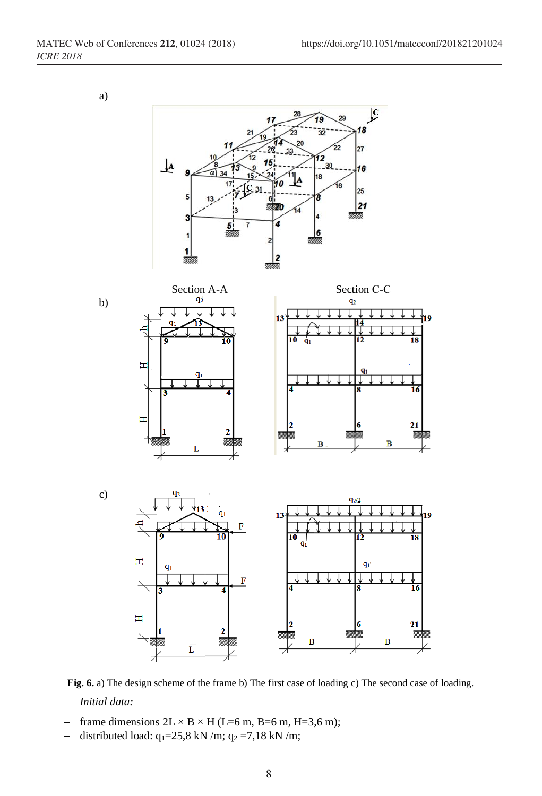

**Fig. 6.** a) The design scheme of the frame b) The first case of loading c) The second case of loading. *Initial data:*

- $-$  frame dimensions  $2L \times B \times H$  (L=6 m, B=6 m, H=3,6 m);
- − distributed load:  $q_1=25,8$  kN /m;  $q_2=7,18$  kN /m;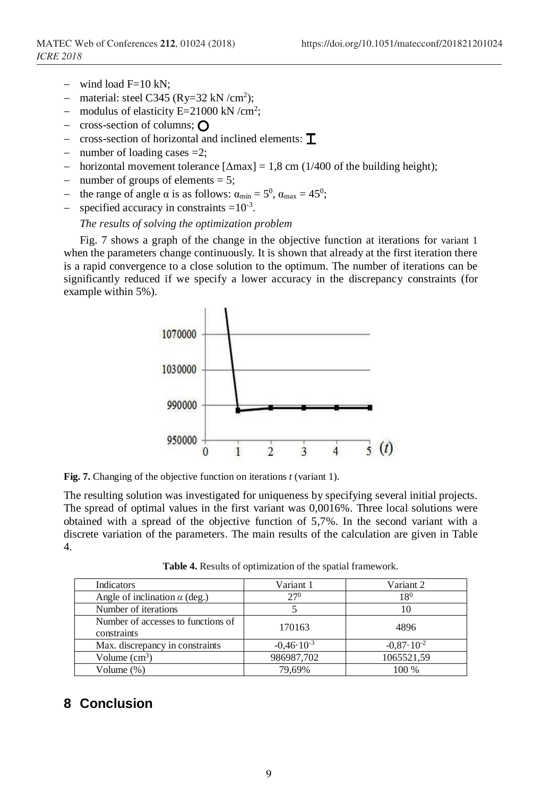- − wind load F=10 kN;
- − material: steel C345 (Ry=32 kN /cm<sup>2</sup> );
- − modulus of elasticity E=21000 kN /cm<sup>2</sup> ;
- − cross-section of columns;
- $\overline{\mathbf{I}}$  cross-section of horizontal and inclined elements:  $\overline{\mathbf{I}}$
- − number of loading cases =2;
- − horizontal movement tolerance [Δmax] = 1,8 cm (1/400 of the building height);
- − number of groups of elements = 5;
- $-$  the range of angle α is as follows:  $α_{min} = 5^0$ ,  $α_{max} = 45^0$ ;
- $\frac{1}{2}$  specified accuracy in constraints =10<sup>-3</sup>.

#### *The results of solving the optimization problem*

Fig. 7 shows a graph of the change in the objective function at iterations for variant 1 when the parameters change continuously. It is shown that already at the first iteration there is a rapid convergence to a close solution to the optimum. The number of iterations can be significantly reduced if we specify a lower accuracy in the discrepancy constraints (for example within 5%).



**Fig. 7.** Changing of the objective function on iterations *t* (variant 1).

The resulting solution was investigated for uniqueness by specifying several initial projects. The spread of optimal values in the first variant was 0,0016%. Three local solutions were obtained with a spread of the objective function of 5,7%. In the second variant with a discrete variation of the parameters. The main results of the calculation are given in Table 4.

**Table 4.** Results of optimization of the spatial framework.

| Indicators                                        | Variant 1             | Variant 2             |
|---------------------------------------------------|-----------------------|-----------------------|
| Angle of inclination $\alpha$ (deg.)              | $27^{0}$              | 18 <sup>0</sup>       |
| Number of iterations                              |                       |                       |
| Number of accesses to functions of<br>constraints | 170163                | 4896                  |
| Max. discrepancy in constraints                   | $-0.46 \cdot 10^{-3}$ | $-0.87 \cdot 10^{-2}$ |
| Volume $(cm3)$                                    | 986987,702            | 1065521,59            |
| Volume (%)                                        | 79,69%                | 100 %                 |

## **8 Conclusion**